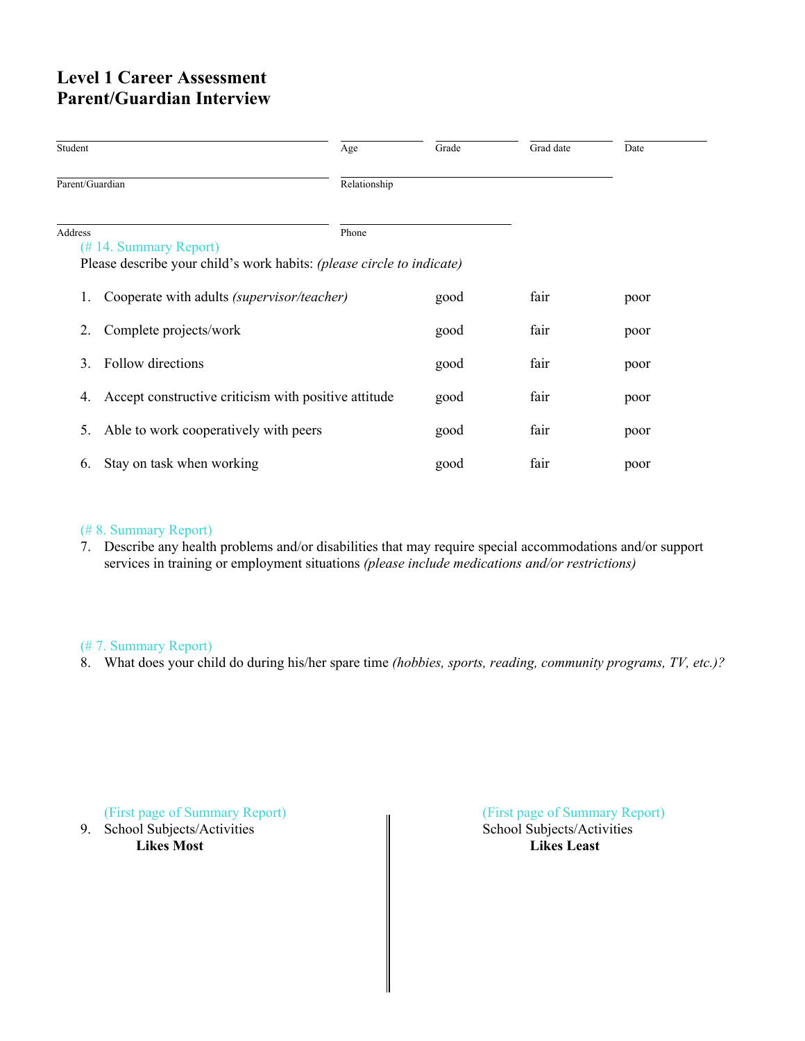# **Level 1 Career Assessment Parent/Guardian Interview**

| Student         |                                                                       | Age          | Grade | Grad date | Date |  |
|-----------------|-----------------------------------------------------------------------|--------------|-------|-----------|------|--|
| Parent/Guardian |                                                                       | Relationship |       |           |      |  |
| Address         | (#14. Summary Report)                                                 | Phone        |       |           |      |  |
|                 | Please describe your child's work habits: (please circle to indicate) |              |       |           |      |  |
|                 | Cooperate with adults <i>(supervisor/teacher)</i>                     |              | good  | fair      | poor |  |
| 2.              | Complete projects/work                                                |              | good  | fair      | poor |  |
| 3               | Follow directions                                                     |              | good  | fair      | poor |  |
| 4.              | Accept constructive criticism with positive attitude                  |              | good  | fair      | poor |  |
| 5.              | Able to work cooperatively with peers                                 |              | good  | fair      | poor |  |
| 6.              | Stay on task when working                                             |              | good  | fair      | poor |  |

## (# 8. Summary Report)

7. Describe any health problems and/or disabilities that may require special accommodations and/or support services in training or employment situations *(please include medications and/or restrictions)*

## (# 7. Summary Report)

8. What does your child do during his/her spare time *(hobbies, sports, reading, community programs, TV, etc.)?*

9. School Subjects/Activities

(First page of Summary Report)<br>
School Subjects/Activities<br>  $\blacksquare$ School Subjects/Activities **Likes Most Likes Least**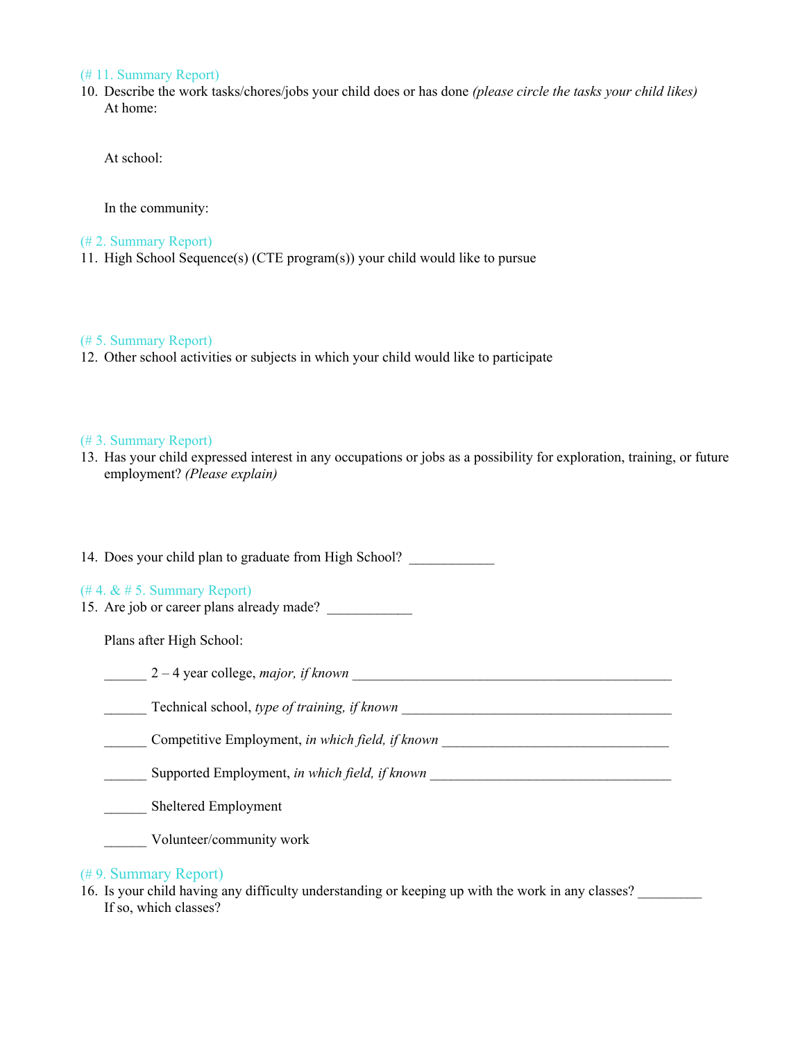## (# 11. Summary Report)

10. Describe the work tasks/chores/jobs your child does or has done *(please circle the tasks your child likes)* At home:

At school:

In the community:

### (# 2. Summary Report)

11. High School Sequence(s) (CTE program(s)) your child would like to pursue

#### (# 5. Summary Report)

12. Other school activities or subjects in which your child would like to participate

#### (# 3. Summary Report)

13. Has your child expressed interest in any occupations or jobs as a possibility for exploration, training, or future employment? *(Please explain)*

| 14. Does your child plan to graduate from High School?                          |  |  |  |  |
|---------------------------------------------------------------------------------|--|--|--|--|
| $(\# 4, \& \# 5$ . Summary Report)<br>15. Are job or career plans already made? |  |  |  |  |
| Plans after High School:                                                        |  |  |  |  |
| $2-4$ year college, <i>major</i> , <i>if known</i>                              |  |  |  |  |
| Technical school, type of training, if known                                    |  |  |  |  |
| Competitive Employment, in which field, if known                                |  |  |  |  |
| Supported Employment, in which field, if known                                  |  |  |  |  |
| Sheltered Employment                                                            |  |  |  |  |
| Volunteer/community work                                                        |  |  |  |  |
| (#9. Summary Report)                                                            |  |  |  |  |

16. Is your child having any difficulty understanding or keeping up with the work in any classes? If so, which classes?